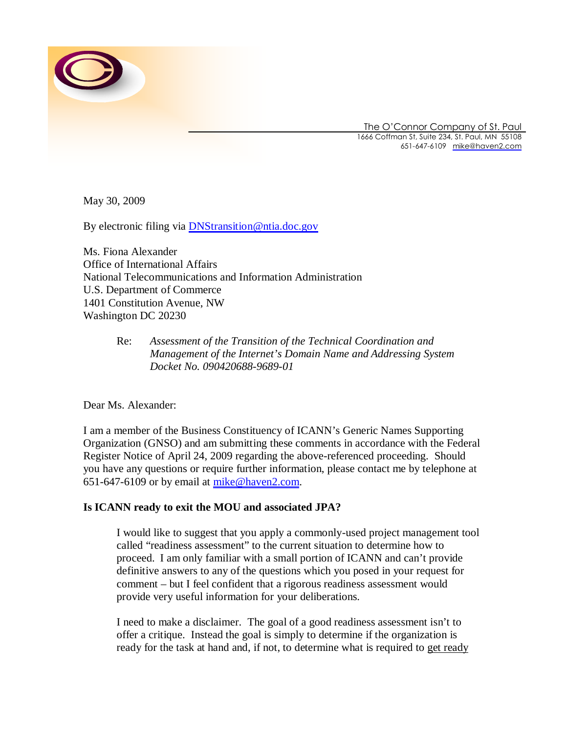

The O'Connor Company of St. Paul 1666 Coffman St, Suite 234, St. Paul, MN 55108 651-647-6109 [mike@haven2.com](mailto:mike@haven2.com)

May 30, 2009

By electronic filing via **[DNStransition@ntia.doc.gov](mailto:DNStransition@ntia.doc.gov)** 

Ms. Fiona Alexander Office of International Affairs National Telecommunications and Information Administration U.S. Department of Commerce 1401 Constitution Avenue, NW Washington DC 20230

## Re: *Assessment of the Transition of the Technical Coordination and Management of the Internet's Domain Name and Addressing System Docket No. 090420688-9689-01*

Dear Ms. Alexander:

I am a member of the Business Constituency of ICANN's Generic Names Supporting Organization (GNSO) and am submitting these comments in accordance with the Federal Register Notice of April 24, 2009 regarding the above-referenced proceeding. Should you have any questions or require further information, please contact me by telephone at 651-647-6109 or by email at [mike@haven2.com](mailto:mike@haven2.com).

# **Is ICANN ready to exit the MOU and associated JPA?**

I would like to suggest that you apply a commonly-used project management tool called "readiness assessment" to the current situation to determine how to proceed. I am only familiar with a small portion of ICANN and can't provide definitive answers to any of the questions which you posed in your request for comment – but I feel confident that a rigorous readiness assessment would provide very useful information for your deliberations.

I need to make a disclaimer. The goal of a good readiness assessment isn't to offer a critique. Instead the goal is simply to determine if the organization is ready for the task at hand and, if not, to determine what is required to get ready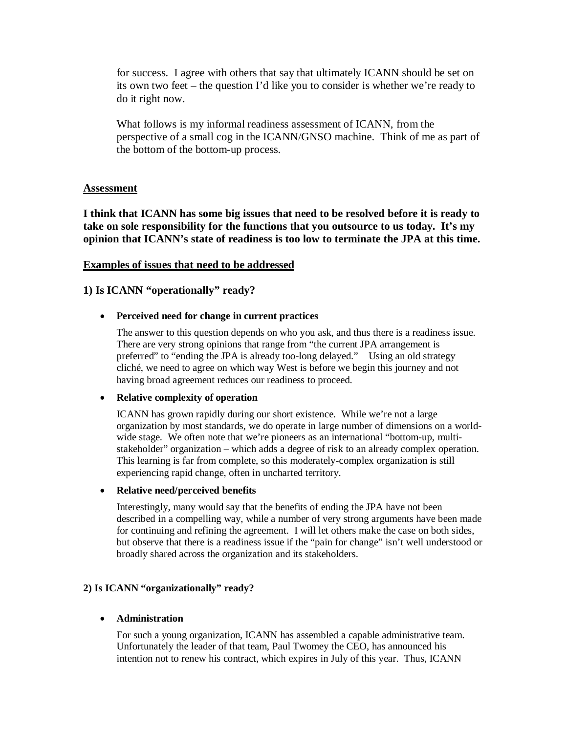for success. I agree with others that say that ultimately ICANN should be set on its own two feet – the question I'd like you to consider is whether we're ready to do it right now.

What follows is my informal readiness assessment of ICANN, from the perspective of a small cog in the ICANN/GNSO machine. Think of me as part of the bottom of the bottom-up process.

## **Assessment**

**I think that ICANN has some big issues that need to be resolved before it is ready to take on sole responsibility for the functions that you outsource to us today. It's my opinion that ICANN's state of readiness is too low to terminate the JPA at this time.**

### **Examples of issues that need to be addressed**

## **1) Is ICANN "operationally" ready?**

### **•** Perceived need for change in current practices

The answer to this question depends on who you ask, and thus there is a readiness issue. There are very strong opinions that range from "the current JPA arrangement is preferred" to "ending the JPA is already too-long delayed." Using an old strategy cliché, we need to agree on which way West is before we begin this journey and not having broad agreement reduces our readiness to proceed.

### x **Relative complexity of operation**

ICANN has grown rapidly during our short existence. While we're not a large organization by most standards, we do operate in large number of dimensions on a worldwide stage. We often note that we're pioneers as an international "bottom-up, multistakeholder" organization – which adds a degree of risk to an already complex operation. This learning is far from complete, so this moderately-complex organization is still experiencing rapid change, often in uncharted territory.

#### x **Relative need/perceived benefits**

Interestingly, many would say that the benefits of ending the JPA have not been described in a compelling way, while a number of very strong arguments have been made for continuing and refining the agreement. I will let others make the case on both sides, but observe that there is a readiness issue if the "pain for change" isn't well understood or broadly shared across the organization and its stakeholders.

### **2) Is ICANN "organizationally" ready?**

### x **Administration**

For such a young organization, ICANN has assembled a capable administrative team. Unfortunately the leader of that team, Paul Twomey the CEO, has announced his intention not to renew his contract, which expires in July of this year. Thus, ICANN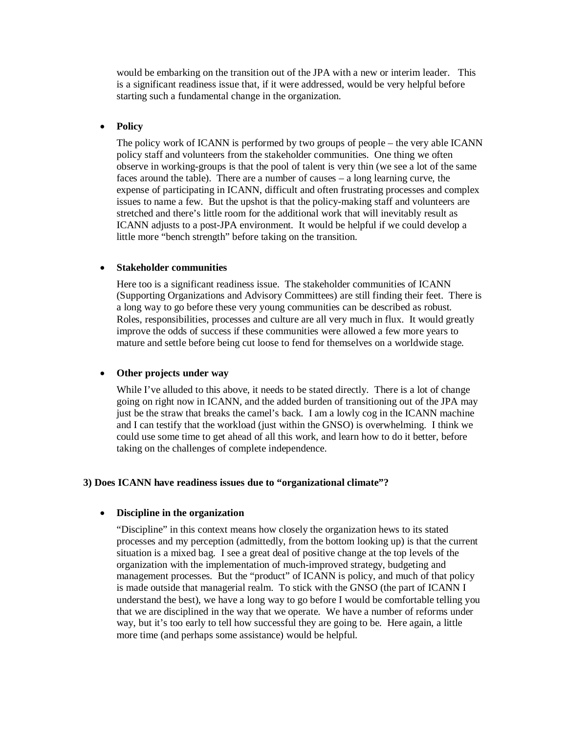would be embarking on the transition out of the JPA with a new or interim leader. This is a significant readiness issue that, if it were addressed, would be very helpful before starting such a fundamental change in the organization.

#### • **Policy**

The policy work of ICANN is performed by two groups of people – the very able ICANN policy staff and volunteers from the stakeholder communities. One thing we often observe in working-groups is that the pool of talent is very thin (we see a lot of the same faces around the table). There are a number of causes – a long learning curve, the expense of participating in ICANN, difficult and often frustrating processes and complex issues to name a few. But the upshot is that the policy-making staff and volunteers are stretched and there's little room for the additional work that will inevitably result as ICANN adjusts to a post-JPA environment. It would be helpful if we could develop a little more "bench strength" before taking on the transition.

#### x **Stakeholder communities**

Here too is a significant readiness issue. The stakeholder communities of ICANN (Supporting Organizations and Advisory Committees) are still finding their feet. There is a long way to go before these very young communities can be described as robust. Roles, responsibilities, processes and culture are all very much in flux. It would greatly improve the odds of success if these communities were allowed a few more years to mature and settle before being cut loose to fend for themselves on a worldwide stage.

### • Other projects under way

While I've alluded to this above, it needs to be stated directly. There is a lot of change going on right now in ICANN, and the added burden of transitioning out of the JPA may just be the straw that breaks the camel's back. I am a lowly cog in the ICANN machine and I can testify that the workload (just within the GNSO) is overwhelming. I think we could use some time to get ahead of all this work, and learn how to do it better, before taking on the challenges of complete independence.

#### **3) Does ICANN have readiness issues due to "organizational climate"?**

#### x **Discipline in the organization**

"Discipline" in this context means how closely the organization hews to its stated processes and my perception (admittedly, from the bottom looking up) is that the current situation is a mixed bag. I see a great deal of positive change at the top levels of the organization with the implementation of much-improved strategy, budgeting and management processes. But the "product" of ICANN is policy, and much of that policy is made outside that managerial realm. To stick with the GNSO (the part of ICANN I understand the best), we have a long way to go before I would be comfortable telling you that we are disciplined in the way that we operate. We have a number of reforms under way, but it's too early to tell how successful they are going to be. Here again, a little more time (and perhaps some assistance) would be helpful.